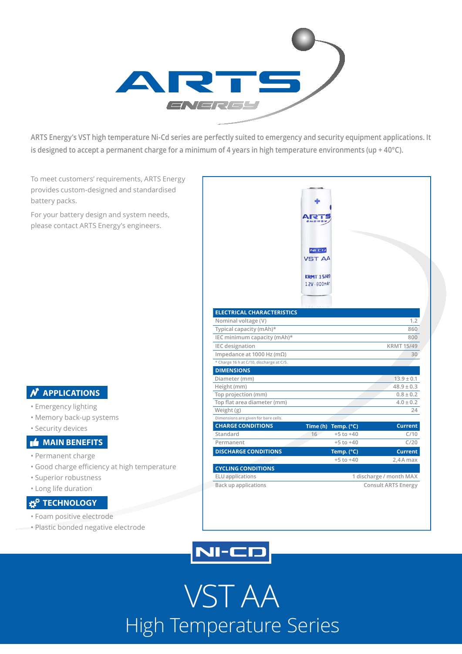

**ARTS Energy's VST high temperature Ni-Cd series are perfectly suited to emergency and security equipment applications. It is designed to accept a permanent charge for a minimum of 4 years in high temperature environments (up + 40°C).**

To meet customers' requirements, ARTS Energy provides custom-designed and standardised battery packs.

For your battery design and system needs, please contact ARTS Energy's engineers.

## **N** APPLICATIONS

- Emergency lighting
- Memory back-up systems
- Security devices

### **MAIN BENEFITS**

- Permanent charge
- Good charge efficiency at high temperature
- Superior robustness
- Long life duration

## **TECHNOLOGY**

- Foam positive electrode
- Plastic bonded negative electrode

|                                                      | $NI-CD$<br><b>VST AA</b>           |                     |                         |
|------------------------------------------------------|------------------------------------|---------------------|-------------------------|
|                                                      | <b>KRMT 15/49</b><br>1.2V - 800mAh |                     |                         |
|                                                      |                                    |                     |                         |
| <b>ELECTRICAL CHARACTERISTICS</b>                    |                                    |                     |                         |
| Nominal voltage (V)                                  |                                    |                     | 1.2                     |
| Typical capacity (mAh)*                              |                                    |                     | 860                     |
| IEC minimum capacity (mAh)*                          |                                    |                     | 800                     |
| <b>IEC</b> designation                               |                                    |                     | <b>KRMT 15/49</b>       |
| Impedance at 1000 Hz (m $\Omega$ )                   |                                    |                     | 30                      |
| * Charge 16 h at C/10, discharge at C/5.             |                                    |                     |                         |
| <b>DIMENSIONS</b>                                    |                                    |                     |                         |
| Diameter (mm)                                        |                                    |                     | $13.9 \pm 0.1$          |
| Height (mm)                                          |                                    |                     | $48.9 \pm 0.3$          |
| Top projection (mm)                                  |                                    |                     | $0.8 \pm 0.2$           |
| Top flat area diameter (mm)                          |                                    |                     | $4.0 \pm 0.2$           |
| Weight (g)                                           |                                    |                     | 24                      |
| Dimensions are given for bare cells.                 |                                    |                     |                         |
| <b>CHARGE CONDITIONS</b>                             |                                    | Time (h) Temp. (°C) | <b>Current</b>          |
| Standard                                             | 16                                 | $+5$ to $+40$       | C/10                    |
| Permanent                                            |                                    | $+5$ to $+40$       | C/20                    |
| <b>DISCHARGE CONDITIONS</b>                          |                                    | Temp. (°C)          | <b>Current</b>          |
|                                                      |                                    | $+5$ to $+40$       | 2,4A max                |
| <b>CYCLING CONDITIONS</b><br><b>ELU</b> applications |                                    |                     |                         |
|                                                      |                                    |                     | 1 discharge / month MAX |



VST AA High Temperature Series